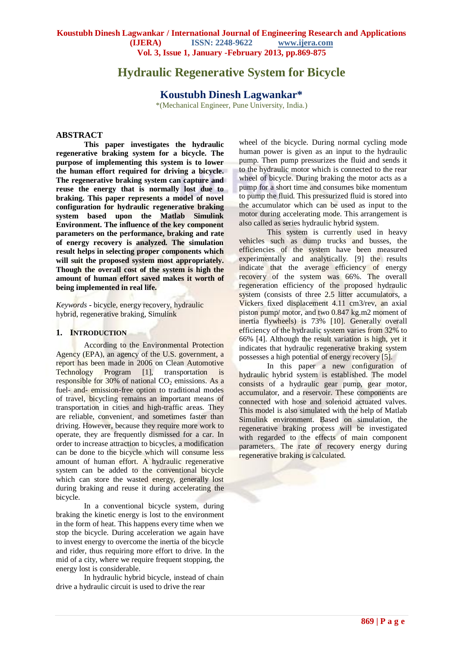# **Hydraulic Regenerative System for Bicycle**

**Koustubh Dinesh Lagwankar\***

\*(Mechanical Engineer, Pune University, India.)

### **ABSTRACT**

**This paper investigates the hydraulic regenerative braking system for a bicycle. The purpose of implementing this system is to lower the human effort required for driving a bicycle. The regenerative braking system can capture and reuse the energy that is normally lost due to braking. This paper represents a model of novel configuration for hydraulic regenerative braking system based upon the Matlab Simulink Environment. The influence of the key component parameters on the performance, braking and rate of energy recovery is analyzed. The simulation result helps in selecting proper components which will suit the proposed system most appropriately. Though the overall cost of the system is high the amount of human effort saved makes it worth of being implemented in real life.**

*Keywords* **-** bicycle, energy recovery, hydraulic hybrid, regenerative braking, Simulink

#### **1. INTRODUCTION**

According to the Environmental Protection Agency (EPA), an agency of the U.S. government, a report has been made in 2006 on Clean Automotive Technology Program [1], transportation is responsible for 30% of national  $CO<sub>2</sub>$  emissions. As a fuel- and- emission-free option to traditional modes of travel, bicycling remains an important means of transportation in cities and high-traffic areas. They are reliable, convenient, and sometimes faster than driving. However, because they require more work to operate, they are frequently dismissed for a car. In order to increase attraction to bicycles, a modification can be done to the bicycle which will consume less amount of human effort. A hydraulic regenerative system can be added to the conventional bicycle which can store the wasted energy, generally lost during braking and reuse it during accelerating the bicycle.

In a conventional bicycle system, during braking the kinetic energy is lost to the environment in the form of heat. This happens every time when we stop the bicycle. During acceleration we again have to invest energy to overcome the inertia of the bicycle and rider, thus requiring more effort to drive. In the mid of a city, where we require frequent stopping, the energy lost is considerable.

In hydraulic hybrid bicycle, instead of chain drive a hydraulic circuit is used to drive the rear

wheel of the bicycle. During normal cycling mode human power is given as an input to the hydraulic pump. Then pump pressurizes the fluid and sends it to the hydraulic motor which is connected to the rear wheel of bicycle. During braking the motor acts as a pump for a short time and consumes bike momentum to pump the fluid. This pressurized fluid is stored into the accumulator which can be used as input to the motor during accelerating mode. This arrangement is also called as series hydraulic hybrid system.

This system is currently used in heavy vehicles such as dump trucks and busses, the efficiencies of the system have been measured experimentally and analytically. [9] the results indicate that the average efficiency of energy recovery of the system was 66%. The overall regeneration efficiency of the proposed hydraulic system (consists of three 2.5 litter accumulators, a Vickers fixed displacement 4.11 cm3/rev, an axial piston pump/ motor, and two 0.847 kg.m2 moment of inertia flywheels) is 73% [10]. Generally overall efficiency of the hydraulic system varies from 32% to 66% [4]. Although the result variation is high, yet it indicates that hydraulic regenerative braking system possesses a high potential of energy recovery [5].

In this paper a new configuration of hydraulic hybrid system is established. The model consists of a hydraulic gear pump, gear motor, accumulator, and a reservoir. These components are connected with hose and solenoid actuated valves. This model is also simulated with the help of Matlab Simulink environment. Based on simulation, the regenerative braking process will be investigated with regarded to the effects of main component parameters. The rate of recovery energy during regenerative braking is calculated.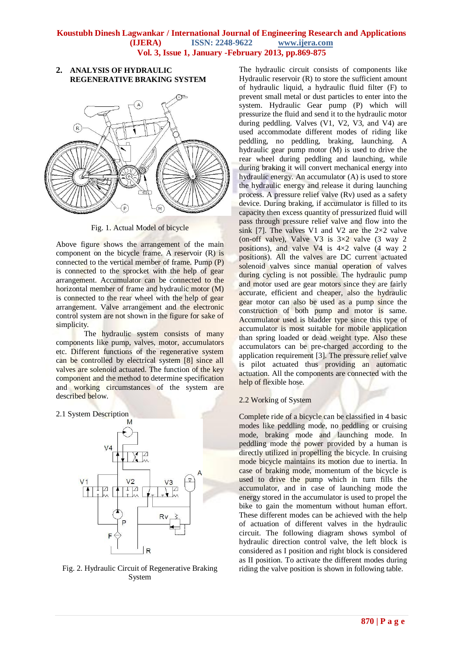### **2. ANALYSIS OF HYDRAULIC REGENERATIVE BRAKING SYSTEM**



Fig. 1. Actual Model of bicycle

Above figure shows the arrangement of the main component on the bicycle frame. A reservoir (R) is connected to the vertical member of frame. Pump (P) is connected to the sprocket with the help of gear arrangement. Accumulator can be connected to the horizontal member of frame and hydraulic motor (M) is connected to the rear wheel with the help of gear arrangement. Valve arrangement and the electronic control system are not shown in the figure for sake of simplicity.

The hydraulic system consists of many components like pump, valves, motor, accumulators etc. Different functions of the regenerative system can be controlled by electrical system [8] since all valves are solenoid actuated. The function of the key component and the method to determine specification and working circumstances of the system are described below.





# Fig. 2. Hydraulic Circuit of Regenerative Braking System

The hydraulic circuit consists of components like Hydraulic reservoir (R) to store the sufficient amount of hydraulic liquid, a hydraulic fluid filter (F) to prevent small metal or dust particles to enter into the system. Hydraulic Gear pump (P) which will pressurize the fluid and send it to the hydraulic motor during peddling. Valves (V1, V2, V3, and V4) are used accommodate different modes of riding like peddling, no peddling, braking, launching. A hydraulic gear pump motor (M) is used to drive the rear wheel during peddling and launching, while during braking it will convert mechanical energy into hydraulic energy. An accumulator (A) is used to store the hydraulic energy and release it during launching process. A pressure relief valve (Rv) used as a safety device. During braking, if accumulator is filled to its capacity then excess quantity of pressurized fluid will pass through pressure relief valve and flow into the sink [7]. The valves V1 and V2 are the  $2\times2$  valve (on-off valve), Valve V3 is  $3\times2$  valve (3 way 2 positions), and valve V4 is  $4 \times 2$  valve (4 way 2 positions). All the valves are DC current actuated solenoid valves since manual operation of valves during cycling is not possible. The hydraulic pump and motor used are gear motors since they are fairly accurate, efficient and cheaper, also the hydraulic gear motor can also be used as a pump since the construction of both pump and motor is same. Accumulator used is bladder type since this type of accumulator is most suitable for mobile application than spring loaded or dead weight type. Also these accumulators can be pre-charged according to the application requirement [3]. The pressure relief valve is pilot actuated thus providing an automatic actuation. All the components are connected with the help of flexible hose.

#### 2.2 Working of System

Complete ride of a bicycle can be classified in 4 basic modes like peddling mode, no peddling or cruising mode, braking mode and launching mode. In peddling mode the power provided by a human is directly utilized in propelling the bicycle. In cruising mode bicycle maintains its motion due to inertia. In case of braking mode, momentum of the bicycle is used to drive the pump which in turn fills the accumulator, and in case of launching mode the energy stored in the accumulator is used to propel the bike to gain the momentum without human effort. These different modes can be achieved with the help of actuation of different valves in the hydraulic circuit. The following diagram shows symbol of hydraulic direction control valve, the left block is considered as I position and right block is considered as II position. To activate the different modes during riding the valve position is shown in following table.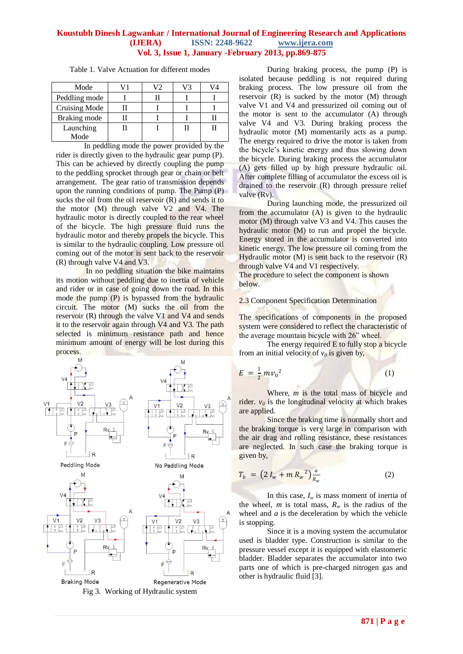|  |  | Table 1. Valve Actuation for different modes |
|--|--|----------------------------------------------|
|--|--|----------------------------------------------|

| Mode                 | V2 | V3 |  |
|----------------------|----|----|--|
| Peddling mode        |    |    |  |
| <b>Cruising Mode</b> |    |    |  |
| Braking mode         |    |    |  |
| Launching            |    |    |  |
| Mode                 |    |    |  |

In peddling mode the power provided by the

rider is directly given to the hydraulic gear pump (P). This can be achieved by directly coupling the pump to the peddling sprocket through gear or chain or belt arrangement. The gear ratio of transmission depends upon the running conditions of pump. The Pump (P) sucks the oil from the oil reservoir (R) and sends it to the motor (M) through valve V2 and V4. The hydraulic motor is directly coupled to the rear wheel of the bicycle. The high pressure fluid runs the hydraulic motor and thereby propels the bicycle. This is similar to the hydraulic coupling. Low pressure oil coming out of the motor is sent back to the reservoir (R) through valve V4 and V3.

In no peddling situation the bike maintains its motion without peddling due to inertia of vehicle and rider or in case of going down the road. In this mode the pump (P) is bypassed from the hydraulic circuit. The motor (M) sucks the oil from the reservoir (R) through the valve V1 and V4 and sends it to the reservoir again through V4 and V3. The path selected is minimum resistance path and hence minimum amount of energy will be lost during this process.





During braking process, the pump (P) is isolated because peddling is not required during braking process. The low pressure oil from the reservoir (R) is sucked by the motor (M) through valve V1 and V4 and pressurized oil coming out of the motor is sent to the accumulator (A) through valve V4 and V3. During braking process the hydraulic motor (M) momentarily acts as a pump. The energy required to drive the motor is taken from the bicycle's kinetic energy and thus slowing down the bicycle. During braking process the accumulator (A) gets filled up by high pressure hydraulic oil. After complete filling of accumulator the excess oil is drained to the reservoir (R) through pressure relief valve (Rv).

During launching mode, the pressurized oil from the accumulator  $(A)$  is given to the hydraulic motor (M) through valve V3 and V4. This causes the hydraulic motor (M) to run and propel the bicycle. Energy stored in the accumulator is converted into kinetic energy. The low pressure oil coming from the Hydraulic motor  $(M)$  is sent back to the reservoir  $(R)$ through valve V4 and V1 respectively.

The procedure to select the component is shown below.

#### 2.3 Component Specification Determination

 $E =$ 

The specifications of components in the proposed system were considered to reflect the characteristic of the average mountain bicycle with 26" wheel.

The energy required E to fully stop a bicycle from an initial velocity of  $v_0$  is given by,

$$
\frac{1}{2}mv_0^2\tag{1}
$$

Where, *m* is the total mass of bicycle and rider.  $v_0$  is the longitudinal velocity at which brakes are applied.

Since the braking time is normally short and the braking torque is very large in comparison with the air drag and rolling resistance, these resistances are neglected. In such case the braking torque is given by,

$$
T_b = \left(2\,I_w + m\,R_w^2\right) \frac{a}{R_w} \tag{2}
$$

In this case,  $I_w$  is mass moment of inertia of the wheel, *m* is total mass,  $R_w$  is the radius of the wheel and *a* is the deceleration by which the vehicle is stopping.

Since it is a moving system the accumulator used is bladder type. Construction is similar to the pressure vessel except it is equipped with elastomeric bladder. Bladder separates the accumulator into two parts one of which is pre-charged nitrogen gas and other is hydraulic fluid [3].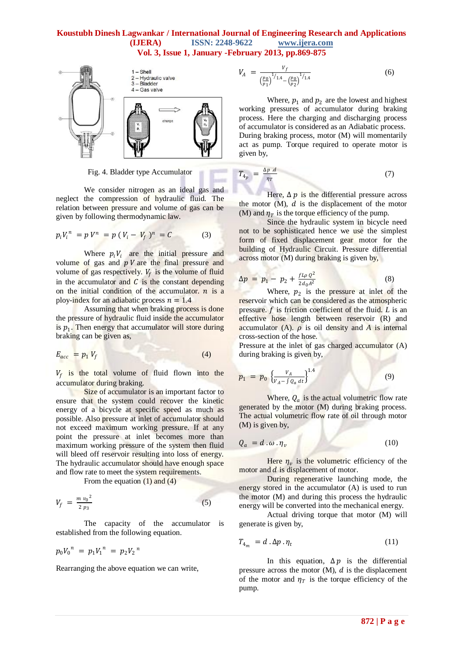

Fig. 4. Bladder type Accumulator

We consider nitrogen as an ideal gas and neglect the compression of hydraulic fluid. The relation between pressure and volume of gas can be given by following thermodynamic law.

$$
p_i V_i^n = p V^n = p (V_i - V_f)^n = C
$$
 (3)

Where  $p_i V_i$  are the initial pressure and volume of gas and  $pV$  are the final pressure and volume of gas respectively.  $V_f$  is the volume of fluid in the accumulator and  $C$  is the constant depending on the initial condition of the accumulator.  $n$  is a ploy-index for an adiabatic process  $n = 1.4$ 

Assuming that when braking process is done the pressure of hydraulic fluid inside the accumulator is  $p_1$ . Then energy that accumulator will store during braking can be given as,

$$
E_{acc} = p_1 V_f \tag{4}
$$

 $V_f$  is the total volume of fluid flown into the accumulator during braking.

Size of accumulator is an important factor to ensure that the system could recover the kinetic energy of a bicycle at specific speed as much as possible. Also pressure at inlet of accumulator should not exceed maximum working pressure. If at any point the pressure at inlet becomes more than maximum working pressure of the system then fluid will bleed off reservoir resulting into loss of energy. The hydraulic accumulator should have enough space and flow rate to meet the system requirements.

From the equation (1) and (4)

$$
V_f = \frac{m v_0^2}{2 p_3} \tag{5}
$$

The capacity of the accumulator is established from the following equation.

$$
p_0V_0^{n} = p_1V_1^{n} = p_2V_2^{n}
$$

Rearranging the above equation we can write,

$$
V_A = \frac{V_f}{\left(\frac{p_0}{p_1}\right)^{1/1.4} - \left(\frac{p_0}{p_2}\right)^{1/1.4}}\tag{6}
$$

Where,  $p_1$  and  $p_2$  are the lowest and highest working pressures of accumulator during braking process. Here the charging and discharging process of accumulator is considered as an Adiabatic process. During braking process, motor (M) will momentarily act as pump. Torque required to operate motor is given by,

$$
T_{4_p} = \frac{\Delta p \cdot d}{\eta_T} \tag{7}
$$

Here,  $\Delta p$  is the differential pressure across the motor  $(M)$ ,  $d$  is the displacement of the motor (M) and  $\eta_T$  is the torque efficiency of the pump.

Since the hydraulic system in bicycle need not to be sophisticated hence we use the simplest form of fixed displacement gear motor for the building of Hydraulic Circuit. Pressure differential across motor (M) during braking is given by,

$$
\Delta p = p_1 - p_2 + \frac{f L \rho Q^2}{2 d_0 A^2} \tag{8}
$$

Where,  $p_2$  is the pressure at inlet of the reservoir which can be considered as the atmospheric pressure.  $f$  is friction coefficient of the fluid.  $L$  is an effective hose length between reservoir (R) and accumulator  $(A)$ .  $\rho$  is oil density and *A* is internal cross-section of the hose.

Pressure at the inlet of gas charged accumulator (A) during braking is given by,

$$
p_1 = p_0 \left\{ \frac{V_A}{V_A - \int Q_a \, dt} \right\}^{1.4} \tag{9}
$$

Where,  $Q_a$  is the actual volumetric flow rate generated by the motor (M) during braking process. The actual volumetric flow rate of oil through motor (M) is given by,

$$
Q_a = d \cdot \omega \cdot \eta_v \tag{10}
$$

Here  $\eta_v$  is the volumetric efficiency of the motor and  $d$  is displacement of motor.

During regenerative launching mode, the energy stored in the accumulator (A) is used to run the motor (M) and during this process the hydraulic energy will be converted into the mechanical energy.

Actual driving torque that motor (M) will generate is given by,

$$
T_{4_m} = d \cdot \Delta p \cdot \eta_t \tag{11}
$$

In this equation,  $\Delta p$  is the differential pressure across the motor  $(M)$ ,  $d$  is the displacement of the motor and  $\eta_T$  is the torque efficiency of the pump.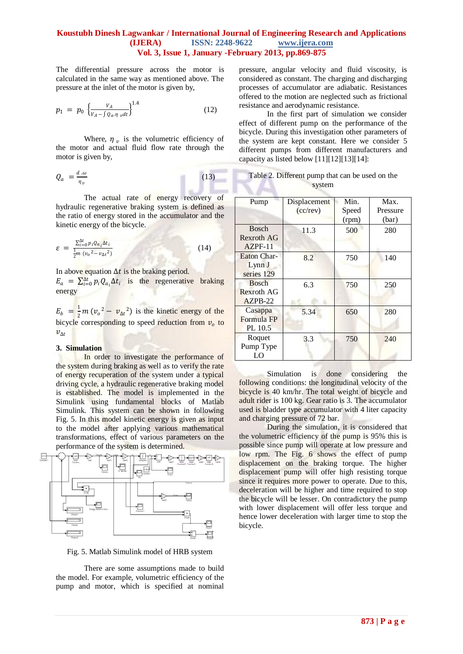The differential pressure across the motor is calculated in the same way as mentioned above. The pressure at the inlet of the motor is given by,

$$
p_1 = p_0 \left\{ \frac{v_A}{v_A - \int Q_a \eta_v dt} \right\}^{1.4}
$$
 (12)

Where,  $\eta_v$  is the volumetric efficiency of the motor and actual fluid flow rate through the motor is given by,

$$
Q_a = \frac{d \omega}{\eta_v} \tag{13}
$$

The actual rate of energy recovery of hydraulic regenerative braking system is defined as the ratio of energy stored in the accumulator and the kinetic energy of the bicycle.

$$
\varepsilon = \frac{\sum_{i=0}^{\Delta t} p_i Q_{a_i} \Delta t_i}{\frac{1}{2} m \left(v_o^2 - v_{\Delta t}^2\right)}\tag{14}
$$

In above equation  $\Delta t$  is the braking period.

 $E_a = \sum_{i=0}^{\Delta t} p_i Q_{a_i} \Delta t_i$  is the regenerative braking energy

 $E_b = \frac{1}{2}$  $\frac{1}{2}m(v_0^2 - v_{\Delta t}^2)$  is the kinetic energy of the bicycle corresponding to speed reduction from  $v<sub>o</sub>$  to  $v_{\Delta t}$ 

#### **3. Simulation**

In order to investigate the performance of the system during braking as well as to verify the rate of energy recuperation of the system under a typical driving cycle, a hydraulic regenerative braking model is established. The model is implemented in the Simulink using fundamental blocks of Matlab Simulink. This system can be shown in following Fig. 5. In this model kinetic energy is given as input to the model after applying various mathematical transformations, effect of various parameters on the performance of the system is determined.



Fig. 5. Matlab Simulink model of HRB system

There are some assumptions made to build the model. For example, volumetric efficiency of the pump and motor, which is specified at nominal

pressure, angular velocity and fluid viscosity, is considered as constant. The charging and discharging processes of accumulator are adiabatic. Resistances offered to the motion are neglected such as frictional resistance and aerodynamic resistance.

In the first part of simulation we consider effect of different pump on the performance of the bicycle. During this investigation other parameters of the system are kept constant. Here we consider 5 different pumps from different manufacturers and capacity as listed below [11][12][13][14]:

Table 2. Different pump that can be used on the system

| Pump         | Displacement | Min.  | Max.     |
|--------------|--------------|-------|----------|
|              | (cc/rev)     | Speed | Pressure |
|              |              | (rpm) | (bar)    |
| <b>Bosch</b> | 11.3         | 500   | 280      |
| Rexroth AG   |              |       |          |
| $AZPF-11$    |              |       |          |
| Eaton Char-  | 8.2          | 750   | 140      |
| Lynn J       |              |       |          |
| series 129   |              |       |          |
| <b>Bosch</b> | 6.3          | 750   | 250      |
| Rexroth AG   |              |       |          |
| $AZPB-22$    |              |       |          |
| Casappa      | 5.34         | 650   | 280      |
| Formula FP   |              |       |          |
| PL 10.5      |              |       |          |
| Roquet       | 3.3          | 750   | 240      |
| Pump Type    |              |       |          |
| L O          |              |       |          |

Simulation is done considering the following conditions: the longitudinal velocity of the bicycle is 40 km/hr. The total weight of bicycle and adult rider is 100 kg. Gear ratio is 3. The accumulator used is bladder type accumulator with 4 liter capacity and charging pressure of 72 bar.

During the simulation, it is considered that the volumetric efficiency of the pump is 95% this is possible since pump will operate at low pressure and low rpm. The Fig. 6 shows the effect of pump displacement on the braking torque. The higher displacement pump will offer high resisting torque since it requires more power to operate. Due to this, deceleration will be higher and time required to stop the bicycle will be lesser. On contradictory the pump with lower displacement will offer less torque and hence lower deceleration with larger time to stop the bicycle.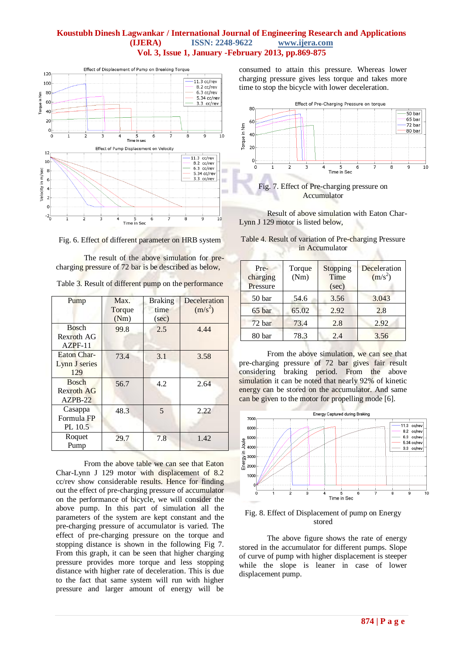

Fig. 6. Effect of different parameter on HRB system

The result of the above simulation for precharging pressure of 72 bar is be described as below,

|        | <b>Braking</b> | Deceleration |
|--------|----------------|--------------|
| Torque | time           | $(m/s^2)$    |
| (Nm)   | (sec)          |              |
|        | 2.5            | 4.44         |
|        |                |              |
|        |                |              |
| 73.4   | 3.1            | 3.58         |
|        |                |              |
|        |                |              |
| 56.7   | 4.2            | 2.64         |
|        |                |              |
|        |                |              |
| 48.3   | 5              | 2.22         |
|        |                |              |
|        |                |              |
| 29.7   | 7.8            | 1.42         |
|        |                |              |
|        | 99.8           |              |

Table 3. Result of different pump on the performance

From the above table we can see that Eaton Char-Lynn J 129 motor with displacement of 8.2 cc/rev show considerable results. Hence for finding out the effect of pre-charging pressure of accumulator on the performance of bicycle, we will consider the above pump. In this part of simulation all the parameters of the system are kept constant and the pre-charging pressure of accumulator is varied. The effect of pre-charging pressure on the torque and stopping distance is shown in the following Fig 7. From this graph, it can be seen that higher charging pressure provides more torque and less stopping distance with higher rate of deceleration. This is due to the fact that same system will run with higher pressure and larger amount of energy will be

consumed to attain this pressure. Whereas lower charging pressure gives less torque and takes more time to stop the bicycle with lower deceleration.





Result of above simulation with Eaton Char-Lynn J 129 motor is listed below,

| Pre-<br>charging<br>Pressure | Torque<br>(Nm) | Stopping<br>Time<br>(sec) | Deceleration<br>$(m/s^2)$ |
|------------------------------|----------------|---------------------------|---------------------------|
| 50 bar                       | 54.6           | 3.56                      | 3.043                     |
| 65 bar                       | 65.02          | 2.92                      | 2.8                       |
| 72 bar                       | 73.4           | 2.8                       | 2.92                      |
| 80 bar                       | 78.3           | 2.4                       | 3.56                      |

Table 4. Result of variation of Pre-charging Pressure in Accumulator

From the above simulation, we can see that pre-charging pressure of 72 bar gives fair result considering braking period. From the above simulation it can be noted that nearly 92% of kinetic energy can be stored on the accumulator. And same can be given to the motor for propelling mode [6].





The above figure shows the rate of energy stored in the accumulator for different pumps. Slope of curve of pump with higher displacement is steeper while the slope is leaner in case of lower displacement pump.